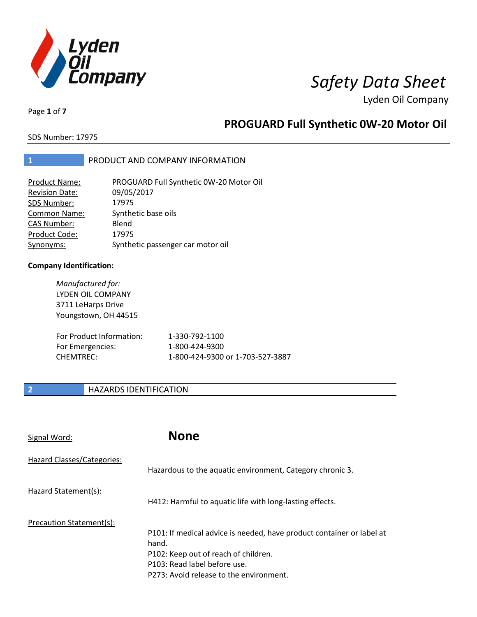

Lyden Oil Company

Page **1** of **7**

### **PROGUARD Full Synthetic 0W-20 Motor Oil**

SDS Number: 17975

#### **1** PRODUCT AND COMPANY INFORMATION

| <b>Product Name:</b>  | PROGUARD Full Synthetic 0W-20 Motor Oil |
|-----------------------|-----------------------------------------|
| <b>Revision Date:</b> | 09/05/2017                              |
| SDS Number:           | 17975                                   |
| <b>Common Name:</b>   | Synthetic base oils                     |
| <b>CAS Number:</b>    | Blend                                   |
| Product Code:         | 17975                                   |
| Synonyms:             | Synthetic passenger car motor oil       |

#### **Company Identification:**

*Manufactured for:*  LYDEN OIL COMPANY 3711 LeHarps Drive Youngstown, OH 44515 For Product Information: 1-330-792-1100

For Emergencies: 1-800-424-9300 CHEMTREC: 1-800-424-9300 or 1-703-527-3887

#### **2 HAZARDS IDENTIFICATION**

| Signal Word:               | <b>None</b>                                                                                                                                                                                       |
|----------------------------|---------------------------------------------------------------------------------------------------------------------------------------------------------------------------------------------------|
| Hazard Classes/Categories: | Hazardous to the aquatic environment, Category chronic 3.                                                                                                                                         |
| Hazard Statement(s):       | H412: Harmful to aquatic life with long-lasting effects.                                                                                                                                          |
| Precaution Statement(s):   | P101: If medical advice is needed, have product container or label at<br>hand.<br>P102: Keep out of reach of children.<br>P103: Read label before use.<br>P273: Avoid release to the environment. |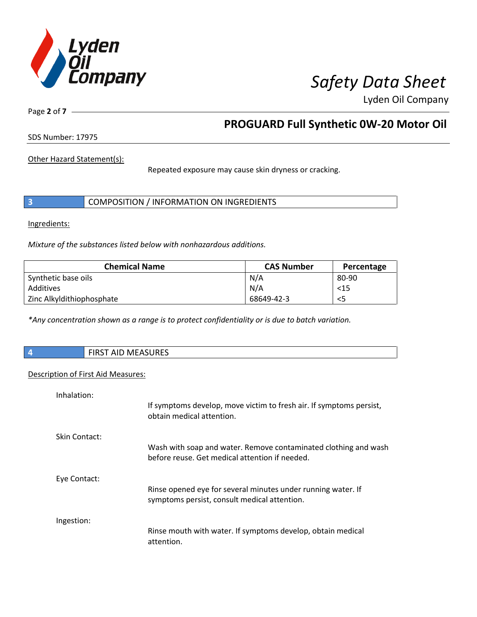

Lyden Oil Company

Page **2** of **7**

### **PROGUARD Full Synthetic 0W-20 Motor Oil**

SDS Number: 17975

Other Hazard Statement(s):

Repeated exposure may cause skin dryness or cracking.

|  | COMPOSITION / INFORMATION ON INGREDIENTS |
|--|------------------------------------------|
|--|------------------------------------------|

Ingredients:

*Mixture of the substances listed below with nonhazardous additions.* 

| <b>Chemical Name</b>      | <b>CAS Number</b> | Percentage |
|---------------------------|-------------------|------------|
| Synthetic base oils       | N/A               | 80-90      |
| Additives                 | N/A               | < 15       |
| Zinc Alkyldithiophosphate | 68649-42-3        | <5         |

*\*Any concentration shown as a range is to protect confidentiality or is due to batch variation.*

| חחוו'<br>$F: R \rightarrow R$<br>AID MEASUNES<br>ו כחו־ |
|---------------------------------------------------------|
|                                                         |

#### Description of First Aid Measures:

| Inhalation:   |                                                                                                                   |
|---------------|-------------------------------------------------------------------------------------------------------------------|
|               | If symptoms develop, move victim to fresh air. If symptoms persist,<br>obtain medical attention.                  |
| Skin Contact: |                                                                                                                   |
|               | Wash with soap and water. Remove contaminated clothing and wash<br>before reuse. Get medical attention if needed. |
| Eye Contact:  |                                                                                                                   |
|               | Rinse opened eye for several minutes under running water. If<br>symptoms persist, consult medical attention.      |
| Ingestion:    |                                                                                                                   |
|               | Rinse mouth with water. If symptoms develop, obtain medical<br>attention.                                         |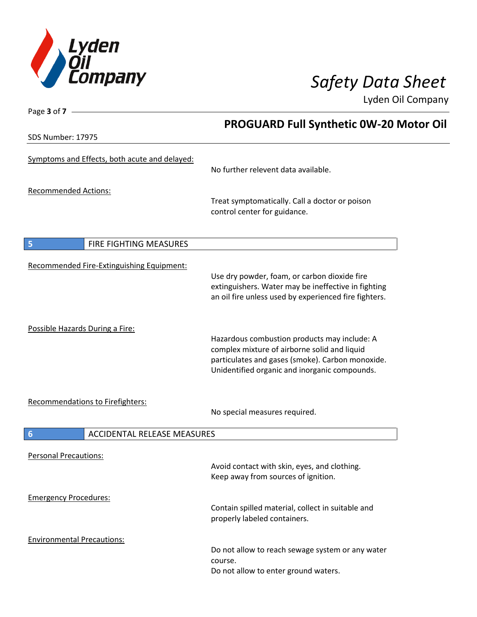

Page **3** of **7**

## *Safety Data Sheet*

Lyden Oil Company

|                                               | <b>PROGUARD Full Synthetic 0W-20 Motor Oil</b>                                                                                                                                                    |
|-----------------------------------------------|---------------------------------------------------------------------------------------------------------------------------------------------------------------------------------------------------|
| SDS Number: 17975                             |                                                                                                                                                                                                   |
| Symptoms and Effects, both acute and delayed: | No further relevent data available.                                                                                                                                                               |
| <b>Recommended Actions:</b>                   | Treat symptomatically. Call a doctor or poison<br>control center for guidance.                                                                                                                    |
| 5<br>FIRE FIGHTING MEASURES                   |                                                                                                                                                                                                   |
| Recommended Fire-Extinguishing Equipment:     | Use dry powder, foam, or carbon dioxide fire<br>extinguishers. Water may be ineffective in fighting<br>an oil fire unless used by experienced fire fighters.                                      |
| Possible Hazards During a Fire:               | Hazardous combustion products may include: A<br>complex mixture of airborne solid and liquid<br>particulates and gases (smoke). Carbon monoxide.<br>Unidentified organic and inorganic compounds. |
| Recommendations to Firefighters:              | No special measures required.                                                                                                                                                                     |
| <b>ACCIDENTAL RELEASE MEASURES</b><br>6       |                                                                                                                                                                                                   |
| <b>Personal Precautions:</b>                  | Avoid contact with skin, eyes, and clothing.<br>Keep away from sources of ignition.                                                                                                               |
| <b>Emergency Procedures:</b>                  | Contain spilled material, collect in suitable and<br>properly labeled containers.                                                                                                                 |
| <b>Environmental Precautions:</b>             | Do not allow to reach sewage system or any water<br>course.<br>Do not allow to enter ground waters.                                                                                               |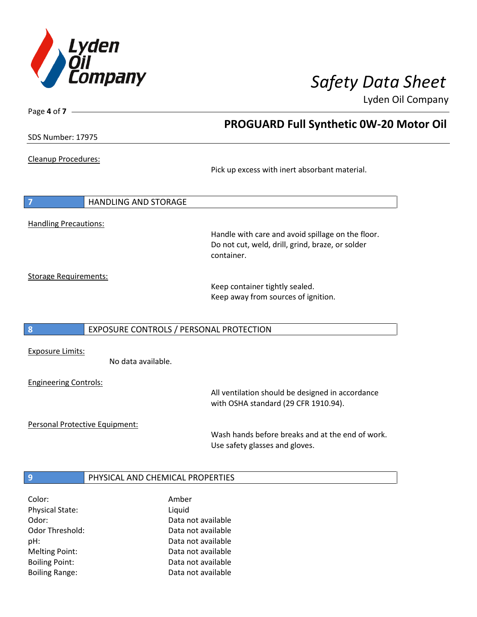

 **PROGUARD Full Synthetic 0W-20 Motor Oil** 

Lyden Oil Company

SDS Number: 17975

Page **4** of **7**

Cleanup Procedures:

Pick up excess with inert absorbant material.

**7** HANDLING AND STORAGE Handling Precautions:

Handle with care and avoid spillage on the floor. Do not cut, weld, drill, grind, braze, or solder container.

Storage Requirements:

Keep container tightly sealed. Keep away from sources of ignition.

#### **8** EXPOSURE CONTROLS / PERSONAL PROTECTION

Exposure Limits:

No data available.

Engineering Controls:

All ventilation should be designed in accordance with OSHA standard (29 CFR 1910.94).

Personal Protective Equipment:

Wash hands before breaks and at the end of work. Use safety glasses and gloves.

#### **9 PHYSICAL AND CHEMICAL PROPERTIES**

| Color:                | Amber              |
|-----------------------|--------------------|
| Physical State:       | Liquid             |
| Odor:                 | Data not available |
| Odor Threshold:       | Data not available |
| pH:                   | Data not available |
| <b>Melting Point:</b> | Data not available |
| <b>Boiling Point:</b> | Data not available |
| <b>Boiling Range:</b> | Data not available |
|                       |                    |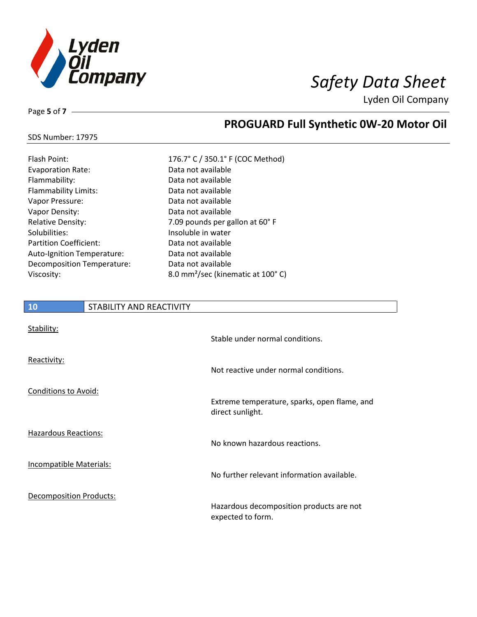

Lyden Oil Company

Page **5** of **7**

### **PROGUARD Full Synthetic 0W-20 Motor Oil**

#### SDS Number: 17975

| <b>Flash Point:</b>           | $176.7^{\circ}$ C / $350.1^{\circ}$ F |
|-------------------------------|---------------------------------------|
| <b>Evaporation Rate:</b>      | Data not available                    |
| Flammability:                 | Data not available                    |
| Flammability Limits:          | Data not available                    |
| Vapor Pressure:               | Data not available                    |
| Vapor Density:                | Data not available                    |
| <b>Relative Density:</b>      | 7.09 pounds per ga                    |
| Solubilities:                 | Insoluble in water                    |
| <b>Partition Coefficient:</b> | Data not available                    |
| Auto-Ignition Temperature:    | Data not available                    |
| Decomposition Temperature:    | Data not available                    |
| Viscosity:                    | 8.0 mm <sup>2</sup> /sec (kiner       |
|                               |                                       |

| Flash Point:                  | 176.7° C / 350.1° F (COC Method)              |
|-------------------------------|-----------------------------------------------|
| <b>Evaporation Rate:</b>      | Data not available                            |
| Flammability:                 | Data not available                            |
| <b>Flammability Limits:</b>   | Data not available                            |
| Vapor Pressure:               | Data not available                            |
| Vapor Density:                | Data not available                            |
| <b>Relative Density:</b>      | 7.09 pounds per gallon at 60° F               |
| Solubilities:                 | Insoluble in water                            |
| <b>Partition Coefficient:</b> | Data not available                            |
| Auto-Ignition Temperature:    | Data not available                            |
| Decomposition Temperature:    | Data not available                            |
| Viscosity:                    | 8.0 mm <sup>2</sup> /sec (kinematic at 100°C) |

| 10                             | <b>STABILITY AND REACTIVITY</b> |                                                                  |
|--------------------------------|---------------------------------|------------------------------------------------------------------|
| Stability:                     |                                 | Stable under normal conditions.                                  |
| Reactivity:                    |                                 | Not reactive under normal conditions.                            |
| <b>Conditions to Avoid:</b>    |                                 | Extreme temperature, sparks, open flame, and<br>direct sunlight. |
| <b>Hazardous Reactions:</b>    |                                 | No known hazardous reactions.                                    |
| <b>Incompatible Materials:</b> |                                 | No further relevant information available.                       |
| <b>Decomposition Products:</b> |                                 | Hazardous decomposition products are not<br>expected to form.    |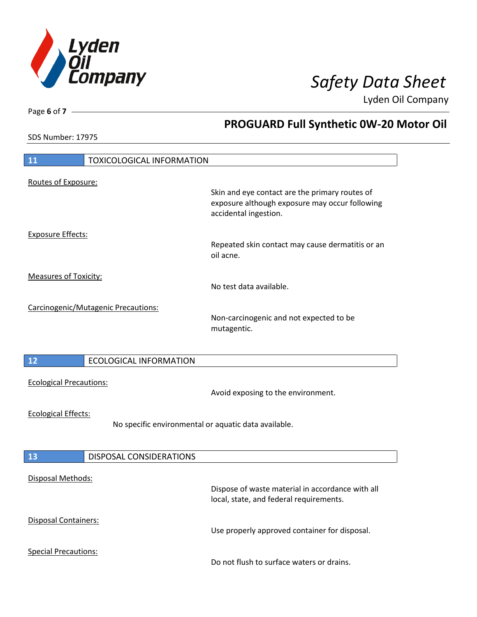

 **PROGUARD Full Synthetic 0W-20 Motor Oil** 

Lyden Oil Company

SDS Number: 17975

### **11** TOXICOLOGICAL INFORMATION Routes of Exposure: Skin and eye contact are the primary routes of exposure although exposure may occur following accidental ingestion. Exposure Effects: Repeated skin contact may cause dermatitis or an oil acne. Measures of Toxicity: No test data available. Carcinogenic/Mutagenic Precautions: Non-carcinogenic and not expected to be mutagentic. **12** ECOLOGICAL INFORMATION Ecological Precautions: Avoid exposing to the environment. Ecological Effects: No specific environmental or aquatic data available. **13** DISPOSAL CONSIDERATIONS Disposal Methods: Dispose of waste material in accordance with all local, state, and federal requirements. Disposal Containers: Use properly approved container for disposal. Special Precautions: Do not flush to surface waters or drains.

Page **6** of **7**